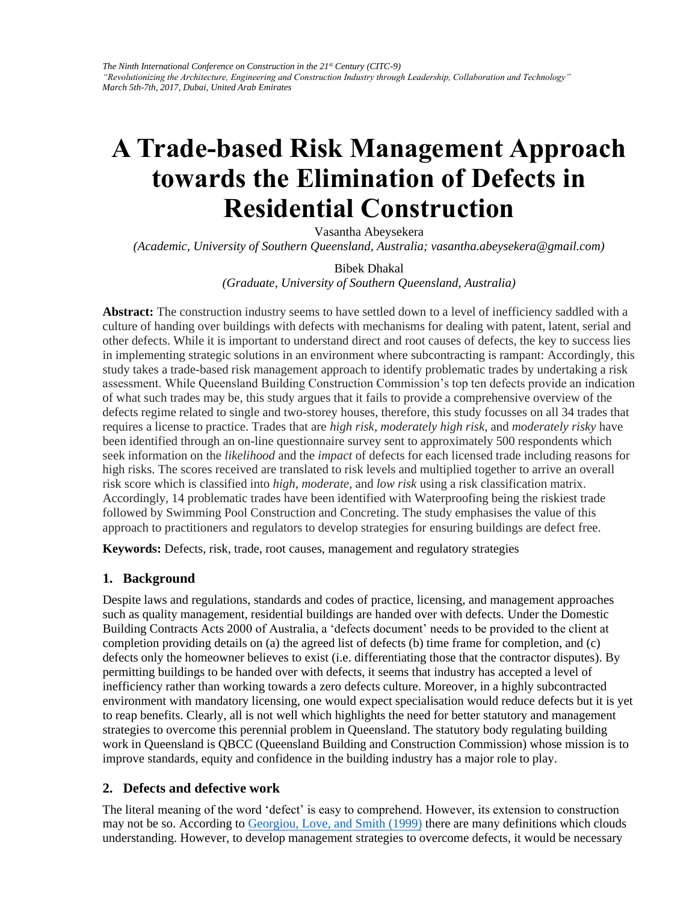# **A Trade-based Risk Management Approach towards the Elimination of Defects in Residential Construction**

Vasantha Abeysekera

*(Academic, University of Southern Queensland, Australia; vasantha.abeysekera@gmail.com)* 

#### Bibek Dhakal

*(Graduate, University of Southern Queensland, Australia)* 

**Abstract:** The construction industry seems to have settled down to a level of inefficiency saddled with a culture of handing over buildings with defects with mechanisms for dealing with patent, latent, serial and other defects. While it is important to understand direct and root causes of defects, the key to success lies in implementing strategic solutions in an environment where subcontracting is rampant: Accordingly, this study takes a trade-based risk management approach to identify problematic trades by undertaking a risk assessment. While Queensland Building Construction Commission's top ten defects provide an indication of what such trades may be, this study argues that it fails to provide a comprehensive overview of the defects regime related to single and two-storey houses, therefore, this study focusses on all 34 trades that requires a license to practice. Trades that are *high risk*, *moderately high risk*, and *moderately risky* have been identified through an on-line questionnaire survey sent to approximately 500 respondents which seek information on the *likelihood* and the *impact* of defects for each licensed trade including reasons for high risks. The scores received are translated to risk levels and multiplied together to arrive an overall risk score which is classified into *high, moderate,* and *low risk* using a risk classification matrix. Accordingly, 14 problematic trades have been identified with Waterproofing being the riskiest trade followed by Swimming Pool Construction and Concreting. The study emphasises the value of this approach to practitioners and regulators to develop strategies for ensuring buildings are defect free.

**Keywords:** Defects, risk, trade, root causes, management and regulatory strategies

## **1. Background**

Despite laws and regulations, standards and codes of practice, licensing, and management approaches such as quality management, residential buildings are handed over with defects. Under the Domestic Building Contracts Acts 2000 of Australia, a 'defects document' needs to be provided to the client at completion providing details on (a) the agreed list of defects (b) time frame for completion, and (c) defects only the homeowner believes to exist (i.e. differentiating those that the contractor disputes). By permitting buildings to be handed over with defects, it seems that industry has accepted a level of inefficiency rather than working towards a zero defects culture. Moreover, in a highly subcontracted environment with mandatory licensing, one would expect specialisation would reduce defects but it is yet to reap benefits. Clearly, all is not well which highlights the need for better statutory and management strategies to overcome this perennial problem in Queensland. The statutory body regulating building work in Queensland is QBCC (Queensland Building and Construction Commission) whose mission is to improve standards, equity and confidence in the building industry has a major role to play.

## **2. Defects and defectiv[e work](file:///F:/138.doc%23_ENREF_13)**

The literal meaning of the word 'defect' is easy to comprehend. However, its extension to construction may not be so. According to Georgiou, Love, and Smith (1999) there are many definitions which clouds understanding. However, to develop management strategies to overcome defects, it would be necessary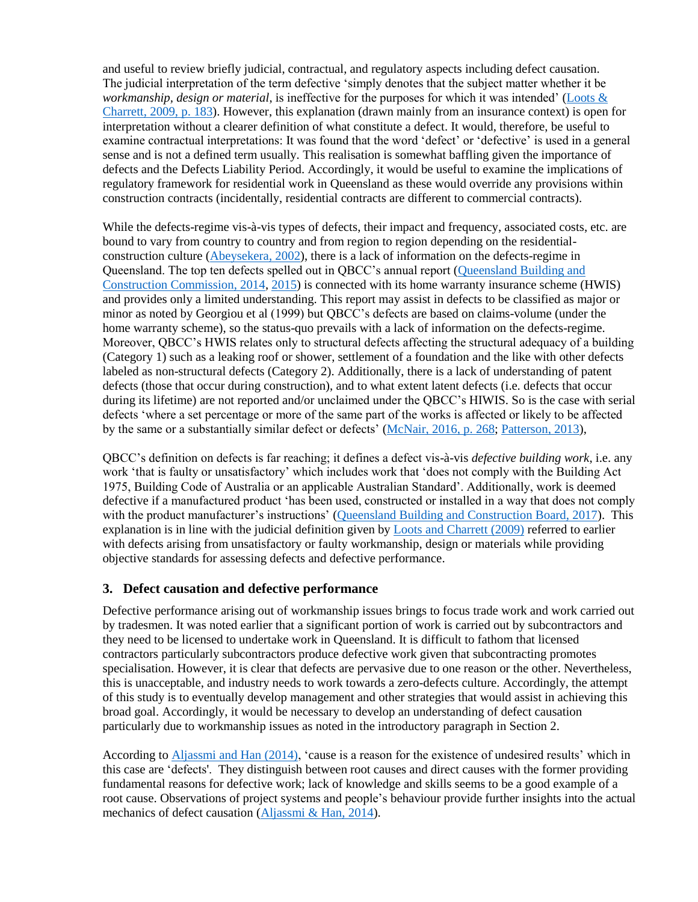and useful to review briefly judicial, contractual, and regulatory aspects including defect causation. The judicial interpretation of the term defective 'simply denotes that the subject matter whether it be *workmanship, design or material*, is ineffective for the purposes for which it was intended' [\(Loots &](file:///F:/138.doc%23_ENREF_14)  [Charrett, 2009, p. 183\)](file:///F:/138.doc%23_ENREF_14). However, this explanation (drawn mainly from an insurance context) is open for interpretation without a clearer definition of what constitute a defect. It would, therefore, be useful to examine contractual interpretations: It was found that the word 'defect' or 'defective' is used in a general sense and is not a defined term usually. This realisation is somewhat baffling given the importance of defects and the Defects Liability Period. Accordingly, it would be useful to examine the implications of regulatory framework for residential work in Queensland as these would override any provisions within construction contracts (incidentally, residential contracts are different to commercial contracts).

While the defects-regime vis-à-vis types of defects, their impact and frequency, associated costs, etc. are bound to vary from country to country and from region to region depending on the residentialconstruction culture [\(Abeysekera, 2002\)](file:///F:/138.doc%23_ENREF_1), there is a lack of information on the defects-regime in Queensland. The top ten defects spelled out in QBCC's annual report [\(Queensland Building and](file:///F:/138.doc%23_ENREF_22)  [Construction Commission, 2014,](file:///F:/138.doc%23_ENREF_22) [2015\)](file:///F:/138.doc%23_ENREF_23) is connected with its home warranty insurance scheme (HWIS) and provides only a limited understanding. This report may assist in defects to be classified as major or minor as noted by Georgiou et al (1999) but QBCC's defects are based on claims-volume (under the home warranty scheme), so the status-quo prevails with a lack of information on the defects-regime. Moreover, QBCC's HWIS relates only to structural defects affecting the structural adequacy of a building (Category 1) such as a leaking roof or shower, settlement of a foundation and the like with other defects labeled as non-structural defects (Category 2). Additionally, there is a lack of understanding of patent defects (those that occur during construction), and to what extent latent defects (i.e. defects that occur during its lifetime) are not reported and/or unclaimed under the QBCC's HIWIS. So is the case with serial defects 'where a set percentage or more of the same part of the works is affected or likely to be affected by the same or a substantially similar defect or defects' [\(McNair, 2016, p. 268;](file:///F:/138.doc%23_ENREF_17) [Patterson, 2013\)](file:///F:/138.doc%23_ENREF_18),

QBCC's definition on defects is far reaching; it defines a defect vis-à-vis *defective building work*, i.e. any work 'that is faulty or unsatisfactory' which includes work that 'does not comply with the Building Act 1975, Building Code of Australia or an applicable Australian Standard'. Additionally, work is deemed defective if a manufactured product 'has been used, constructed or installed in a way that does not comply with the product manufacturer's instructions' [\(Queensland Building and Construction Board, 2017\)](file:///F:/138.doc%23_ENREF_21). This explanation is in line with the judicial definition given by [Loots and Charrett \(2009\)](file:///F:/138.doc%23_ENREF_14) referred to earlier with defects arising from unsatisfactory or faulty workmanship, design or materials while providing objective standards for assessing defects and defective performance.

## **3. Defect causation and defective performance**

Defective performance arising out of workmanship issues brings to focus trade work and work carried out by tradesmen. It was noted earlier that a significant portion of work is carried out by subcontractors and they need to be licensed to undertake work in Queensland. It is difficult to fathom that licensed contractors particularly subcontractors produce defective work given that subcontracting promotes specialisation. However, it is clear that defects are pervasive due to one reason or the other. Nevertheless, this is unacceptable, and industry needs to work towards a zero-defects culture. Accordingly, the attempt of this study is to eventually develop management and other strategies that would assist in achieving this broad goal. Accordingly, it would be necessary to develop an understanding of defect causation particularly due to workmanship issues as noted in the introductory paragraph in Section 2.

According to [Aljassmi and Han \(2014\),](file:///F:/138.doc%23_ENREF_5) 'cause is a reason for the existence of undesired results' which in this case are 'defects'. They distinguish between root causes and direct causes with the former providing fundamental reasons for defective work; lack of knowledge and skills seems to be a good example of a root cause. Observations of project systems and people's behaviour provide further insights into the actual mechanics of defect causation [\(Aljassmi & Han, 2014\)](file:///F:/138.doc%23_ENREF_5).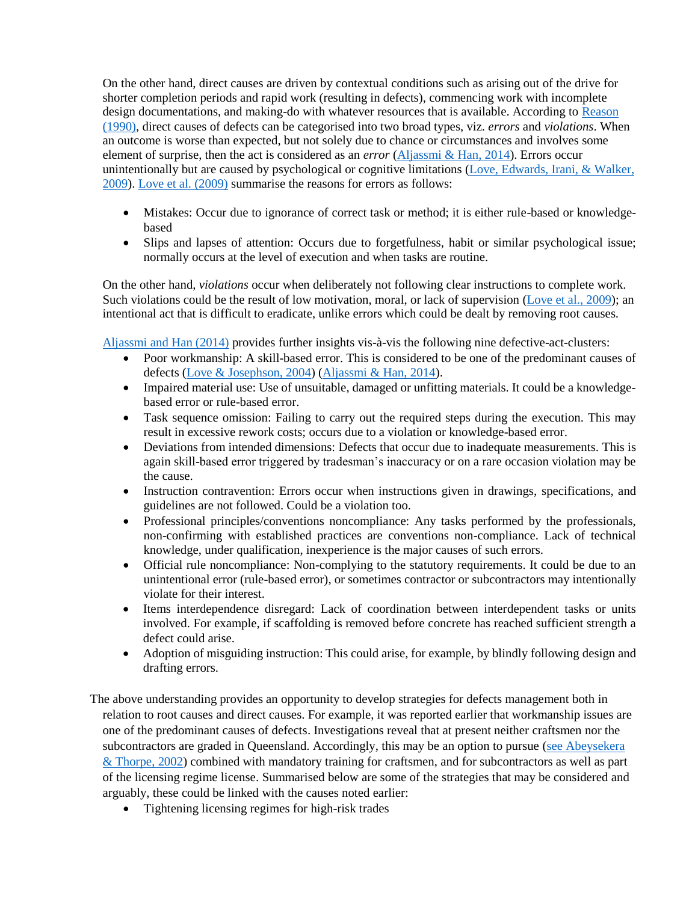On the other hand, direct causes are driven by contextual conditions such as arising out of the drive for shorter completion periods and rapid work (resulting in defects), commencing work with incomplete design documentations, and making-do with whatever resources that is available. According to [Reason](file:///F:/138.doc%23_ENREF_25)  (1990), direct causes of defects can be categorised into two broad types, viz. *errors* and *violations*. When an outcome is worse than expected, but not solely due to chance or circumstances and involves some element of surprise, then the act is considered as an *error* [\(Aljassmi & Han, 2014\)](file:///F:/138.doc%23_ENREF_5). Errors occur unintentionally but are caused by psychological or cognitive limitations [\(Love, Edwards, Irani, & Walker,](file:///F:/138.doc%23_ENREF_15)  [2009\)](file:///F:/138.doc%23_ENREF_15). [Love et al. \(2009\)](file:///F:/138.doc%23_ENREF_15) summarise the reasons for errors as follows:

- Mistakes: Occur due to ignorance of correct task or method; it is either rule-based or knowledgebased
- Slips and lapses of attention: Occurs due to forgetfulness, habit or similar psychological issue; normally occurs at the level of execution and when tasks are routine.

On the other hand, *violations* occur when deliberately not following clear instructions to complete work. Such violations could be the result of low motivation, moral, or lack of supervision [\(Love et al., 2009\)](file:///F:/138.doc%23_ENREF_15); an intentional act that is difficult to eradicate, unlike errors which could be dealt by removing root causes.

[Aljassmi and Han \(2014\)](file:///F:/138.doc%23_ENREF_5) provides further insights vis-à-vis the following nine defective-act-clusters:

- Poor workmanship: A skill-based error. This is considered to be one of the predominant causes of defects [\(Love & Josephson, 2004\)](file:///F:/138.doc%23_ENREF_16) [\(Aljassmi & Han, 2014\)](file:///F:/138.doc%23_ENREF_5).
- Impaired material use: Use of unsuitable, damaged or unfitting materials. It could be a knowledgebased error or rule-based error.
- Task sequence omission: Failing to carry out the required steps during the execution. This may result in excessive rework costs; occurs due to a violation or knowledge-based error.
- Deviations from intended dimensions: Defects that occur due to inadequate measurements. This is again skill-based error triggered by tradesman's inaccuracy or on a rare occasion violation may be the cause.
- Instruction contravention: Errors occur when instructions given in drawings, specifications, and guidelines are not followed. Could be a violation too.
- Professional principles/conventions noncompliance: Any tasks performed by the professionals, non-confirming with established practices are conventions non-compliance. Lack of technical knowledge, under qualification, inexperience is the major causes of such errors.
- Official rule noncompliance: Non-complying to the statutory requirements. It could be due to an unintentional error (rule-based error), or sometimes contractor or subcontractors may intentionally violate for their interest.
- Items interdependence disregard: Lack of coordination between interdependent tasks or units involved. For example, if scaffolding is removed before concrete has reached sufficient strength a defect could arise.
- Adoption of misguiding instruction: This could arise, for example, by blindly following design and drafting errors.
- The above understanding provides an opportunity to develop strategies for defects management both in relation to root causes and direct causes. For example, it was reported earlier that workmanship issues are one of the predominant causes of defects. Investigations reveal that at present neither craftsmen nor the subcontractors are graded in Queensland. Accordingly, this may be an option to pursue [\(see Abeysekera](file:///F:/138.doc%23_ENREF_4)  [& Thorpe,](file:///F:/138.doc%23_ENREF_4) 2002) combined with mandatory training for craftsmen, and for subcontractors as well as part of the licensing regime license. Summarised below are some of the strategies that may be considered and arguably, these could be linked with the causes noted earlier:
	- Tightening licensing regimes for high-risk trades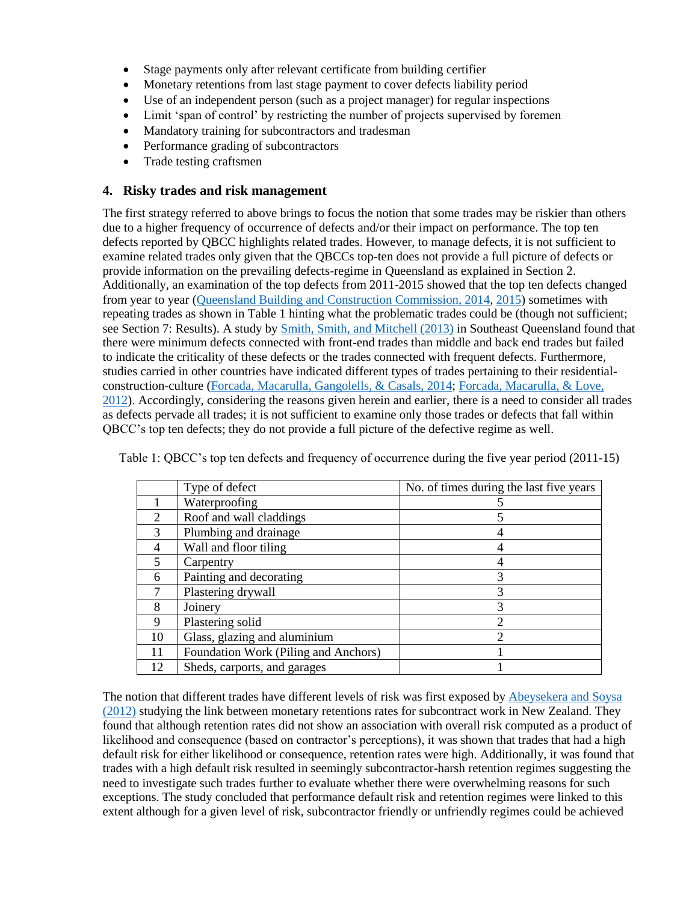- Stage payments only after relevant certificate from building certifier
- Monetary retentions from last stage payment to cover defects liability period
- Use of an independent person (such as a project manager) for regular inspections
- Limit 'span of control' by restricting the number of projects supervised by foremen
- Mandatory training for subcontractors and tradesman
- Performance grading of subcontractors
- Trade testing craftsmen

#### **4. Risky trades and risk management**

The first strategy referred to above brings to focus the notion that some trades may be riskier than others due to a higher frequency of occurrence of defects and/or their impact on performance. The top ten defects reported by QBCC highlights related trades. However, to manage defects, it is not sufficient to examine related trades only given that the QBCCs top-ten does not provide a full picture of defects or provide information on the prevailing defects-regime in Queensland as explained in Section 2. Additionally, an examination of the top defects from 2011-2015 showed that the top ten defects changed from year to year [\(Queensland Building and Construction Commission, 2014,](file:///F:/138.doc%23_ENREF_22) [2015\)](file:///F:/138.doc%23_ENREF_23) sometimes with repeating trades as shown in Table 1 hinting what the problematic trades could be (though not sufficient; see Section 7: Results). A study by [Smith, Smith, and Mitchell \(2013\)](file:///F:/138.doc%23_ENREF_26) in Southeast Queensland found that there were minimum defects connected with front-end trades than middle and back end trades but failed to indicate the criticality of these defects or the trades connected with frequent defects. Furthermore, studies carried in other countries have indicated different types of trades pertaining to their residentialconstruction-culture [\(Forcada, Macarulla, Gangolells, & Casals, 2014;](file:///F:/138.doc%23_ENREF_10) [Forcada, Macarulla, & Love,](file:///F:/138.doc%23_ENREF_11)  [2012\)](file:///F:/138.doc%23_ENREF_11). Accordingly, considering the reasons given herein and earlier, there is a need to consider all trades as defects pervade all trades; it is not sufficient to examine only those trades or defects that fall within QBCC's top ten defects; they do not provide a full picture of the defective regime as well.

|                             | Type of defect                       | No. of times during the last five years |
|-----------------------------|--------------------------------------|-----------------------------------------|
|                             | Waterproofing                        |                                         |
| $\mathcal{D}_{\mathcal{L}}$ | Roof and wall claddings              | 5                                       |
| $\mathcal{R}$               | Plumbing and drainage                |                                         |
| 4                           | Wall and floor tiling                |                                         |
| 5                           | Carpentry                            |                                         |
| 6                           | Painting and decorating              | 3                                       |
|                             | Plastering drywall                   | 3                                       |
| 8                           | Joinery                              | 3                                       |
| 9                           | Plastering solid                     | $\overline{c}$                          |
| 10                          | Glass, glazing and aluminium         | $\overline{c}$                          |
| 11                          | Foundation Work (Piling and Anchors) |                                         |
| 12                          | Sheds, carports, and garages         |                                         |

Table 1: QBCC's top ten defects and frequency of occurrence during the five year period (2011-15)

The notion that different trades have different levels of risk was first exposed by [Abeysekera and Soysa](file:///F:/138.doc%23_ENREF_3)  (2012) studying the link between monetary retentions rates for subcontract work in New Zealand. They found that although retention rates did not show an association with overall risk computed as a product of likelihood and consequence (based on contractor's perceptions), it was shown that trades that had a high default risk for either likelihood or consequence, retention rates were high. Additionally, it was found that trades with a high default risk resulted in seemingly subcontractor-harsh retention regimes suggesting the need to investigate such trades further to evaluate whether there were overwhelming reasons for such exceptions. The study concluded that performance default risk and retention regimes were linked to this extent although for a given level of risk, subcontractor friendly or unfriendly regimes could be achieved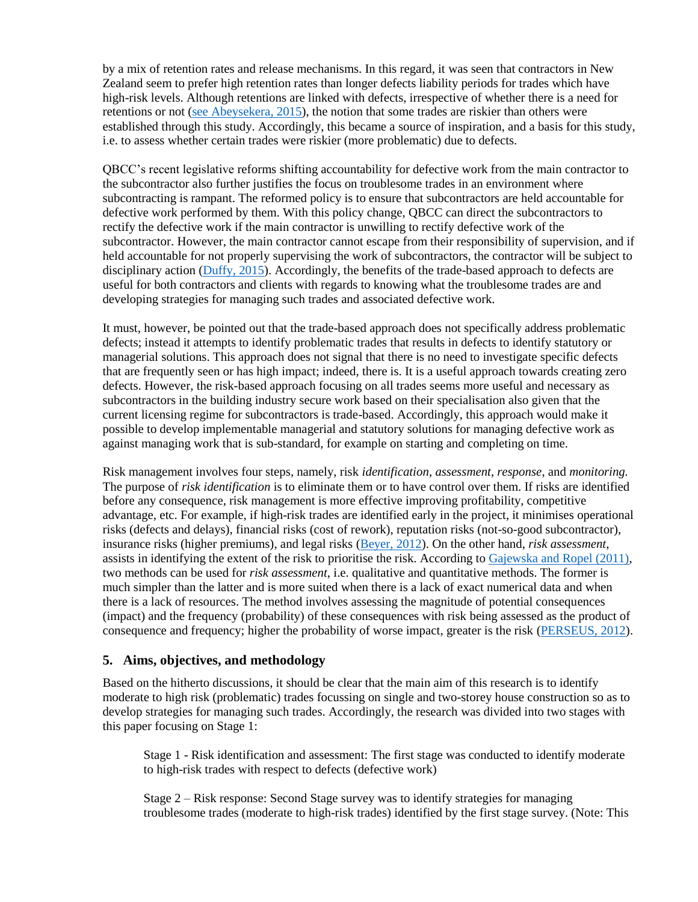by a mix of retention rates and release mechanisms. In this regard, it was seen that contractors in New Zealand seem to prefer high retention rates than longer defects liability periods for trades which have high-risk levels. Although retentions are linked with defects, irrespective of whether there is a need for retentions or not [\(see Abeysekera, 2015\)](file:///F:/138.doc%23_ENREF_2), the notion that some trades are riskier than others were established through this study. Accordingly, this became a source of inspiration, and a basis for this study, i.e. to assess whether certain trades were riskier (more problematic) due to defects.

QBCC's recent legislative reforms shifting accountability for defective work from the main contractor to the subcontractor also further justifies the focus on troublesome trades in an environment where subcontracting is rampant. The reformed policy is to ensure that subcontractors are held accountable for defective work performed by them. With this policy change, QBCC can direct the subcontractors to rectify the defective work if the main contractor is unwilling to rectify defective work of the subcontractor. However, the main contractor cannot escape from their responsibility of supervision, and if held accountable for not properly supervising the work of subcontractors, the contractor will be subject to disciplinary action [\(Duffy, 2015\)](file:///F:/138.doc%23_ENREF_9). Accordingly, the benefits of the trade-based approach to defects are useful for both contractors and clients with regards to knowing what the troublesome trades are and developing strategies for managing such trades and associated defective work.

It must, however, be pointed out that the trade-based approach does not specifically address problematic defects; instead it attempts to identify problematic trades that results in defects to identify statutory or managerial solutions. This approach does not signal that there is no need to investigate specific defects that are frequently seen or has high impact; indeed, there is. It is a useful approach towards creating zero defects. However, the risk-based approach focusing on all trades seems more useful and necessary as subcontractors in the building industry secure work based on their specialisation also given that the current licensing regime for subcontractors is trade-based. Accordingly, this approach would make it possible to develop implementable managerial and statutory solutions for managing defective work as against managing work that is sub-standard, for example on starting and completing on time.

Risk management involves four steps, namely, risk *identification*, *assessment*, *response*, and *monitoring.* The purpose of *risk identification* is to eliminate them or to have control over them. If risks are identified before any consequence, risk management is more effective improving profitability, competitive advantage, etc. For example, if high-risk trades are identified early in the project, it minimises operational risks (defects and delays), financial risks (cost of rework), reputation risks (not-so-good subcontractor), insurance risks (higher premiums), and legal risks [\(Beyer, 2012\)](file:///F:/138.doc%23_ENREF_8). On the other hand, *risk assessment*, assists in identifying the extent of the risk to prioritise the risk. According to [Gajewska and Ropel \(2011\),](file:///F:/138.doc%23_ENREF_12) two methods can be used for *risk assessment*, i.e. qualitative and quantitative methods. The former is much simpler than the latter and is more suited when there is a lack of exact numerical data and when there is a lack of resources. The method involves assessing the magnitude of potential consequences (impact) and the frequency (probability) of these consequences with risk being assessed as the product of consequence and frequency; higher the probability of worse impact, greater is the risk [\(PERSEUS, 2012\)](file:///F:/138.doc%23_ENREF_19).

## **5. Aims, objectives, and methodology**

Based on the hitherto discussions, it should be clear that the main aim of this research is to identify moderate to high risk (problematic) trades focussing on single and two-storey house construction so as to develop strategies for managing such trades. Accordingly, the research was divided into two stages with this paper focusing on Stage 1:

Stage 1 - Risk identification and assessment: The first stage was conducted to identify moderate to high-risk trades with respect to defects (defective work)

Stage 2 – Risk response: Second Stage survey was to identify strategies for managing troublesome trades (moderate to high-risk trades) identified by the first stage survey. (Note: This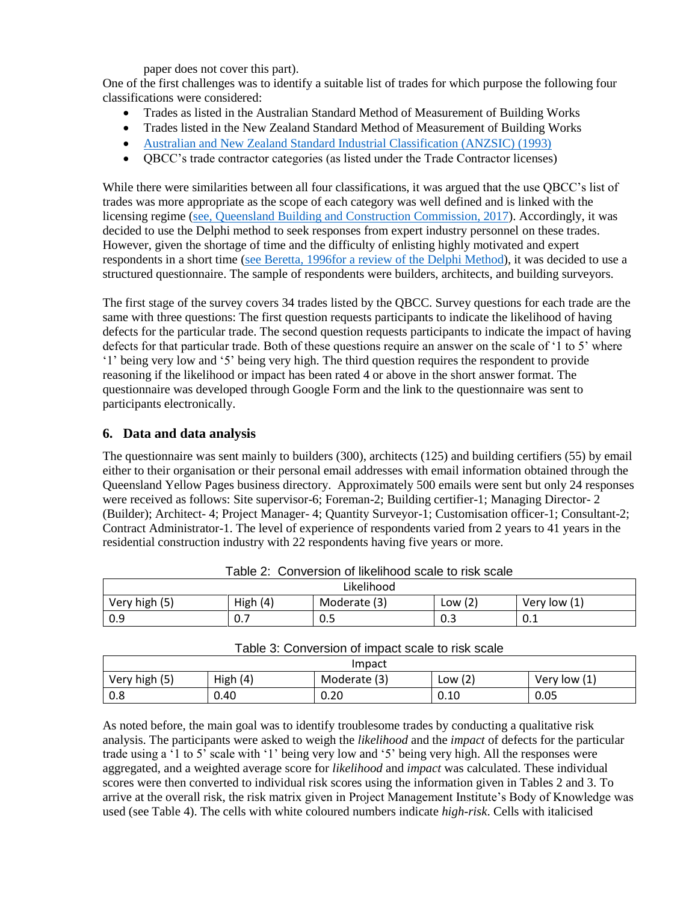paper does not cover this part).

One of the first challenges was to identify a suitable list of trades for which purpose the following four classifications were considered:

- Trades as listed in the Australian Standard Method of Measurement of Building Works
- Trades listed in the New Zealand Standard Method of Measurement of Building Works
- [Australian and New Zealand Standard Industrial Classification \(ANZSIC\) \(1993\)](file:///F:/138.doc%23_ENREF_6)
- QBCC's trade contractor categories (as listed under the Trade Contractor licenses)

While there were similarities between all four classifications, it was argued that the use QBCC's list of trades was more appropriate as the scope of each category was well defined and is linked with the licensing regime [\(see, Queensland Building and Construction Commission, 2017\)](file:///F:/138.doc%23_ENREF_24). Accordingly, it was decided to use the Delphi method to seek responses from expert industry personnel on these trades. However, given the shortage of time and the difficulty of enlisting highly motivated and expert respondents in a short time [\(see Beretta, 1996for a review of the Delphi Method\)](file:///F:/138.doc%23_ENREF_7), it was decided to use a structured questionnaire. The sample of respondents were builders, architects, and building surveyors.

The first stage of the survey covers 34 trades listed by the QBCC. Survey questions for each trade are the same with three questions: The first question requests participants to indicate the likelihood of having defects for the particular trade. The second question requests participants to indicate the impact of having defects for that particular trade. Both of these questions require an answer on the scale of '1 to 5' where '1' being very low and '5' being very high. The third question requires the respondent to provide reasoning if the likelihood or impact has been rated 4 or above in the short answer format. The questionnaire was developed through Google Form and the link to the questionnaire was sent to participants electronically.

## **6. Data and data analysis**

The questionnaire was sent mainly to builders (300), architects (125) and building certifiers (55) by email either to their organisation or their personal email addresses with email information obtained through the Queensland Yellow Pages business directory. Approximately 500 emails were sent but only 24 responses were received as follows: Site supervisor-6; Foreman-2; Building certifier-1; Managing Director- 2 (Builder); Architect- 4; Project Manager- 4; Quantity Surveyor-1; Customisation officer-1; Consultant-2; Contract Administrator-1. The level of experience of respondents varied from 2 years to 41 years in the residential construction industry with 22 respondents having five years or more.

| Likelihood       |             |              |              |                                     |  |  |
|------------------|-------------|--------------|--------------|-------------------------------------|--|--|
| (5)<br>Very high | (4)<br>High | Moderate (3) | Low $(2)$    | $\overline{11}$<br>Very low<br>- 11 |  |  |
| 0.9              | 0.7         | U.J          | $\cap$<br>υ. | 0.1                                 |  |  |

| Table 2: Conversion of likelihood scale to risk scale |  |  |  |  |  |  |  |
|-------------------------------------------------------|--|--|--|--|--|--|--|
|-------------------------------------------------------|--|--|--|--|--|--|--|

| Table 3: Conversion of impact scale to risk scale |  |  |
|---------------------------------------------------|--|--|
|---------------------------------------------------|--|--|

| Impact        |            |              |           |              |  |  |
|---------------|------------|--------------|-----------|--------------|--|--|
| Very high (5) | High $(4)$ | Moderate (3) | Low $(2)$ | Very low (1) |  |  |
| 0.8           | 0.40       | 0.20         | 0.10      | 0.05         |  |  |

As noted before, the main goal was to identify troublesome trades by conducting a qualitative risk analysis. The participants were asked to weigh the *likelihood* and the *impact* of defects for the particular trade using a '1 to 5' scale with '1' being very low and '5' being very high. All the responses were aggregated, and a weighted average score for *likelihood* and *impact* was calculated. These individual scores were then converted to individual risk scores using the information given in Tables 2 and 3. To arrive at the overall risk, the risk matrix given in Project Management Institute's Body of Knowledge was used (see Table 4). The cells with white coloured numbers indicate *high-risk*. Cells with italicised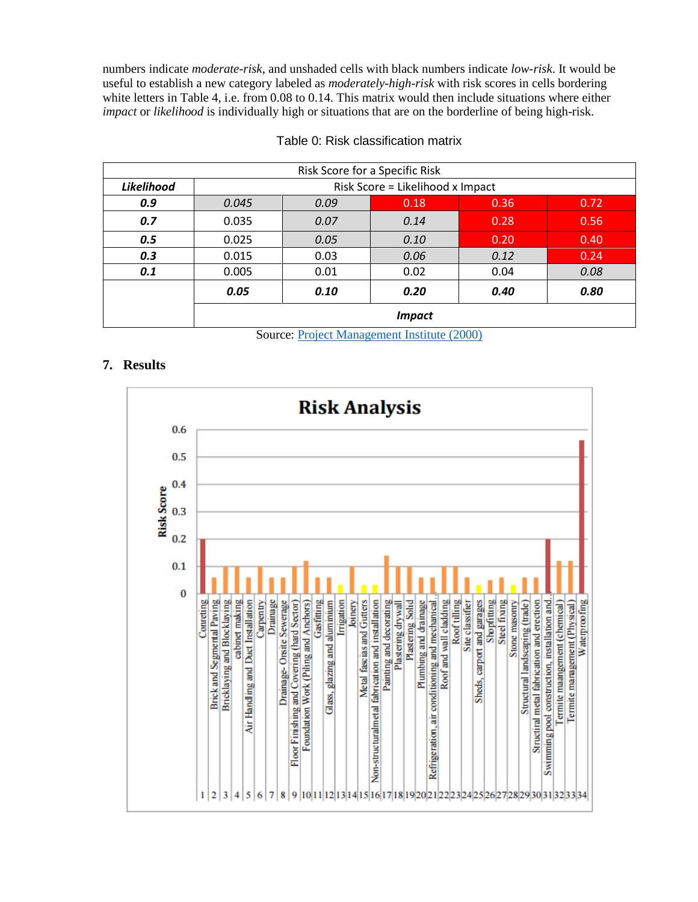numbers indicate *moderate-risk*, and unshaded cells with black numbers indicate *low-risk*. It would be useful to establish a new category labeled as *moderately-high-risk* with risk scores in cells bordering white letters in Table 4, i.e. from 0.08 to 0.14. This matrix would then include situations where either *impact* or *likelihood* is individually high or situations that are on the borderline of being high-risk.

| Risk Score for a Specific Risk |                                  |      |      |      |      |  |
|--------------------------------|----------------------------------|------|------|------|------|--|
| Likelihood                     | Risk Score = Likelihood x Impact |      |      |      |      |  |
| 0.9                            | 0.045                            | 0.09 | 0.18 | 0.36 | 0.72 |  |
| 0.7                            | 0.035                            | 0.07 | 0.14 | 0.28 | 0.56 |  |
| 0.5                            | 0.025                            | 0.05 | 0.10 | 0.20 | 0.40 |  |
| 0.3                            | 0.015                            | 0.03 | 0.06 | 0.12 | 0.24 |  |
| 0.1                            | 0.005                            | 0.01 | 0.02 | 0.04 | 0.08 |  |
|                                | 0.05                             | 0.10 | 0.20 | 0.40 | 0.80 |  |
|                                | <b>Impact</b>                    |      |      |      |      |  |

Table 0: Risk classification matrix

Source: [Project Management Institute \(2000\)](file:///F:/138.doc%23_ENREF_20)

## **7. Results**

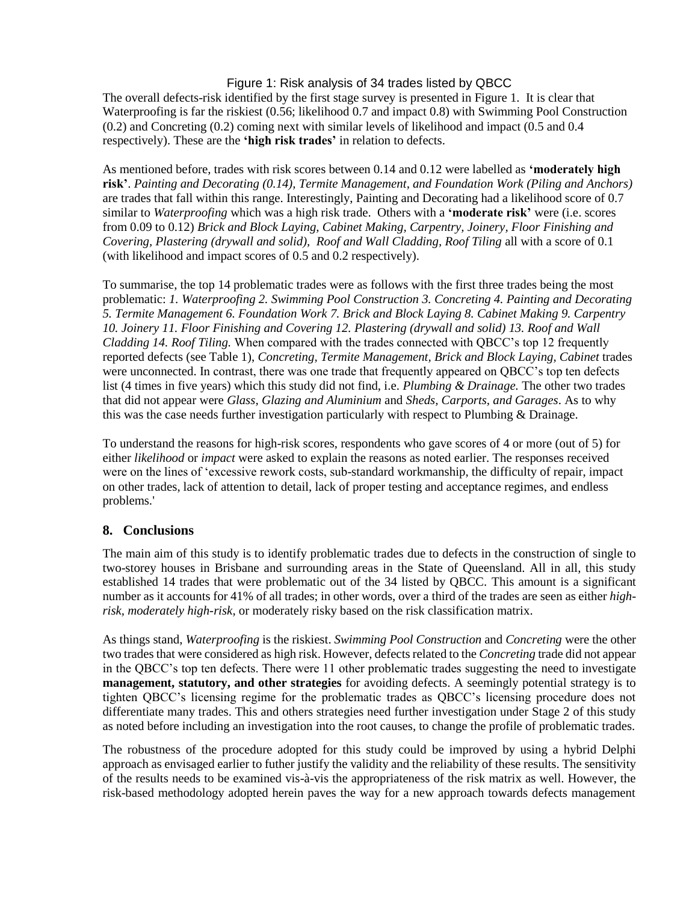#### Figure 1: Risk analysis of 34 trades listed by QBCC

The overall defects-risk identified by the first stage survey is presented in Figure 1. It is clear that Waterproofing is far the riskiest (0.56; likelihood 0.7 and impact 0.8) with Swimming Pool Construction (0.2) and Concreting (0.2) coming next with similar levels of likelihood and impact (0.5 and 0.4 respectively). These are the **'high risk trades'** in relation to defects.

As mentioned before, trades with risk scores between 0.14 and 0.12 were labelled as **'moderately high risk'**. *Painting and Decorating (0.14), Termite Management, and Foundation Work (Piling and Anchors)* are trades that fall within this range. Interestingly, Painting and Decorating had a likelihood score of 0.7 similar to *Waterproofing* which was a high risk trade. Others with a **'moderate risk'** were (i.e. scores from 0.09 to 0.12) *Brick and Block Laying, Cabinet Making, Carpentry, Joinery, Floor Finishing and Covering, Plastering (drywall and solid), Roof and Wall Cladding, Roof Tiling* all with a score of 0.1 (with likelihood and impact scores of 0.5 and 0.2 respectively).

To summarise, the top 14 problematic trades were as follows with the first three trades being the most problematic: *1. Waterproofing 2. Swimming Pool Construction 3. Concreting 4. Painting and Decorating 5. Termite Management 6. Foundation Work 7. Brick and Block Laying 8. Cabinet Making 9. Carpentry 10. Joinery 11. Floor Finishing and Covering 12. Plastering (drywall and solid) 13. Roof and Wall Cladding 14. Roof Tiling.* When compared with the trades connected with QBCC's top 12 frequently reported defects (see Table 1), *Concreting, Termite Management, Brick and Block Laying, Cabinet* trades were unconnected. In contrast, there was one trade that frequently appeared on QBCC's top ten defects list (4 times in five years) which this study did not find, i.e. *Plumbing & Drainage.* The other two trades that did not appear were *Glass, Glazing and Aluminium* and *Sheds, Carports, and Garages*. As to why this was the case needs further investigation particularly with respect to Plumbing & Drainage.

To understand the reasons for high-risk scores, respondents who gave scores of 4 or more (out of 5) for either *likelihood* or *impact* were asked to explain the reasons as noted earlier. The responses received were on the lines of 'excessive rework costs, sub-standard workmanship, the difficulty of repair, impact on other trades, lack of attention to detail, lack of proper testing and acceptance regimes, and endless problems.'

## **8. Conclusions**

The main aim of this study is to identify problematic trades due to defects in the construction of single to two-storey houses in Brisbane and surrounding areas in the State of Queensland. All in all, this study established 14 trades that were problematic out of the 34 listed by QBCC. This amount is a significant number as it accounts for 41% of all trades; in other words, over a third of the trades are seen as either *highrisk, moderately high-risk*, or moderately risky based on the risk classification matrix.

As things stand, *Waterproofing* is the riskiest. *Swimming Pool Construction* and *Concreting* were the other two trades that were considered as high risk. However, defects related to the *Concreting* trade did not appear in the QBCC's top ten defects. There were 11 other problematic trades suggesting the need to investigate **management, statutory, and other strategies** for avoiding defects. A seemingly potential strategy is to tighten QBCC's licensing regime for the problematic trades as QBCC's licensing procedure does not differentiate many trades. This and others strategies need further investigation under Stage 2 of this study as noted before including an investigation into the root causes, to change the profile of problematic trades.

The robustness of the procedure adopted for this study could be improved by using a hybrid Delphi approach as envisaged earlier to futher justify the validity and the reliability of these results. The sensitivity of the results needs to be examined vis-à-vis the appropriateness of the risk matrix as well. However, the risk-based methodology adopted herein paves the way for a new approach towards defects management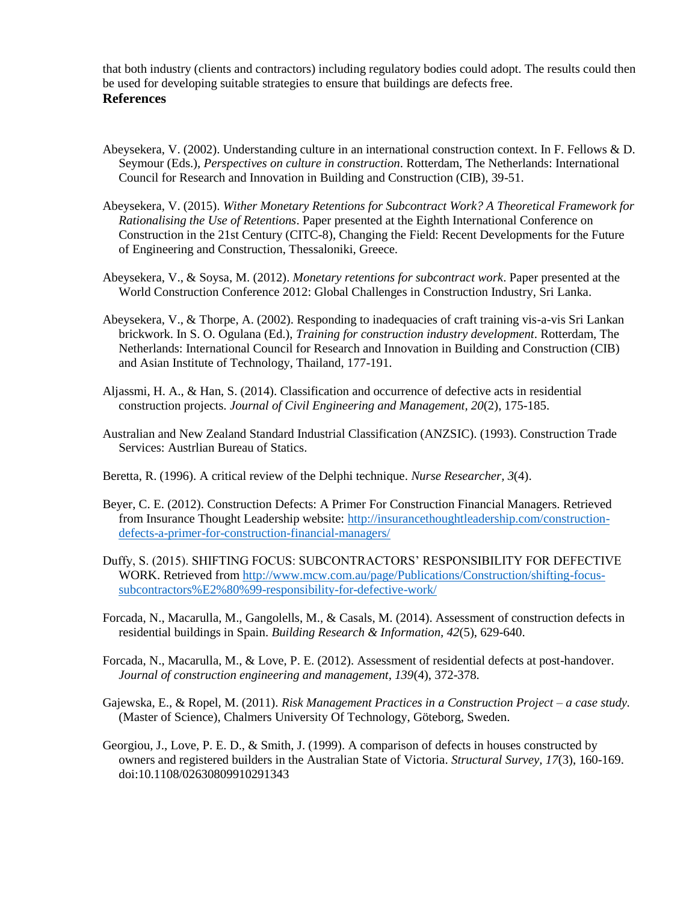that both industry (clients and contractors) including regulatory bodies could adopt. The results could then be used for developing suitable strategies to ensure that buildings are defects free.

#### **References**

- Abeysekera, V. (2002). Understanding culture in an international construction context. In F. Fellows & D. Seymour (Eds.), *Perspectives on culture in construction*. Rotterdam, The Netherlands: International Council for Research and Innovation in Building and Construction (CIB), 39-51.
- Abeysekera, V. (2015). *Wither Monetary Retentions for Subcontract Work? A Theoretical Framework for Rationalising the Use of Retentions*. Paper presented at the Eighth International Conference on Construction in the 21st Century (CITC-8), Changing the Field: Recent Developments for the Future of Engineering and Construction, Thessaloniki, Greece.
- Abeysekera, V., & Soysa, M. (2012). *Monetary retentions for subcontract work*. Paper presented at the World Construction Conference 2012: Global Challenges in Construction Industry, Sri Lanka.
- Abeysekera, V., & Thorpe, A. (2002). Responding to inadequacies of craft training vis-a-vis Sri Lankan brickwork. In S. O. Ogulana (Ed.), *Training for construction industry development*. Rotterdam, The Netherlands: International Council for Research and Innovation in Building and Construction (CIB) and Asian Institute of Technology, Thailand, 177-191.
- Aljassmi, H. A., & Han, S. (2014). Classification and occurrence of defective acts in residential construction projects. *Journal of Civil Engineering and Management, 20*(2), 175-185.
- Australian and New Zealand Standard Industrial Classification (ANZSIC). (1993). Construction Trade Services: Austrlian Bureau of Statics.

Beretta, R. (1996). A critical review of the Delphi technique. *Nurse Researcher, 3*(4).

- Beyer, C. E. (2012). Construction Defects: A Primer For Construction Financial Managers. Retrieved from Insurance Thought Leadership website: [http://insurancethoughtleadership.com/construction](http://insurancethoughtleadership.com/construction-defects-a-primer-for-construction-financial-managers/)[defects-a-primer-for-construction-financial-managers/](http://insurancethoughtleadership.com/construction-defects-a-primer-for-construction-financial-managers/)
- Duffy, S. (2015). SHIFTING FOCUS: SUBCONTRACTORS' RESPONSIBILITY FOR DEFECTIVE WORK. Retrieved from [http://www.mcw.com.au/page/Publications/Construction/shifting-focus](http://www.mcw.com.au/page/Publications/Construction/shifting-focus-subcontractors%E2%80%99-responsibility-for-defective-work/)[subcontractors%E2%80%99-responsibility-for-defective-work/](http://www.mcw.com.au/page/Publications/Construction/shifting-focus-subcontractors%E2%80%99-responsibility-for-defective-work/)
- Forcada, N., Macarulla, M., Gangolells, M., & Casals, M. (2014). Assessment of construction defects in residential buildings in Spain. *Building Research & Information, 42*(5), 629-640.
- Forcada, N., Macarulla, M., & Love, P. E. (2012). Assessment of residential defects at post-handover. *Journal of construction engineering and management, 139*(4), 372-378.
- Gajewska, E., & Ropel, M. (2011). *Risk Management Practices in a Construction Project – a case study.* (Master of Science), Chalmers University Of Technology, Göteborg, Sweden.
- Georgiou, J., Love, P. E. D., & Smith, J. (1999). A comparison of defects in houses constructed by owners and registered builders in the Australian State of Victoria. *Structural Survey, 17*(3), 160-169. doi:10.1108/02630809910291343